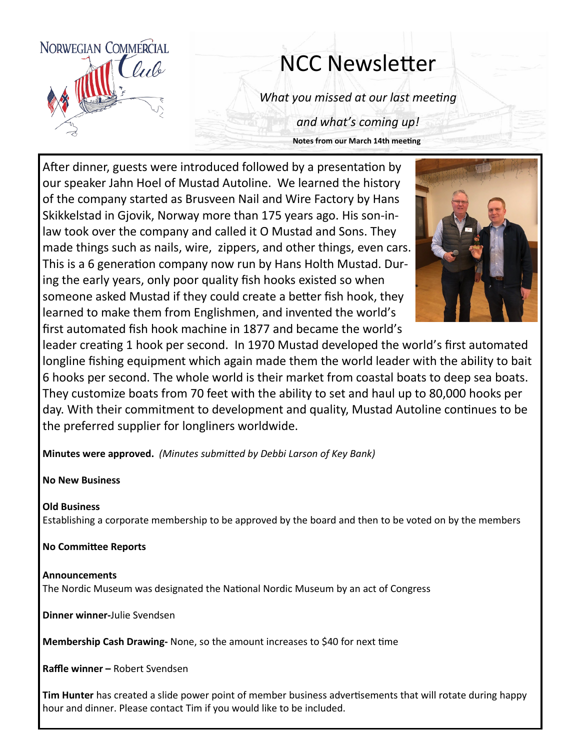

# NCC Newsletter

*What you missed at our last meeting*

*and what's coming up!* **Notes from our March 14th meeting**

After dinner, guests were introduced followed by a presentation by our speaker Jahn Hoel of Mustad Autoline. We learned the history of the company started as Brusveen Nail and Wire Factory by Hans Skikkelstad in Gjovik, Norway more than 175 years ago. His son-inlaw took over the company and called it O Mustad and Sons. They made things such as nails, wire, zippers, and other things, even cars. This is a 6 generation company now run by Hans Holth Mustad. During the early years, only poor quality fish hooks existed so when someone asked Mustad if they could create a better fish hook, they learned to make them from Englishmen, and invented the world's first automated fish hook machine in 1877 and became the world's



leader creating 1 hook per second. In 1970 Mustad developed the world's first automated longline fishing equipment which again made them the world leader with the ability to bait 6 hooks per second. The whole world is their market from coastal boats to deep sea boats. They customize boats from 70 feet with the ability to set and haul up to 80,000 hooks per day. With their commitment to development and quality, Mustad Autoline continues to be the preferred supplier for longliners worldwide.

**Minutes were approved.** *(Minutes submitted by Debbi Larson of Key Bank)*

**No New Business**

### **Old Business**

Establishing a corporate membership to be approved by the board and then to be voted on by the members

**No Committee Reports**

**Announcements** The Nordic Museum was designated the National Nordic Museum by an act of Congress

**Dinner winner-**Julie Svendsen

**Membership Cash Drawing-** None, so the amount increases to \$40 for next time

**Raffle winner –** Robert Svendsen

**Tim Hunter** has created a slide power point of member business advertisements that will rotate during happy hour and dinner. Please contact Tim if you would like to be included.